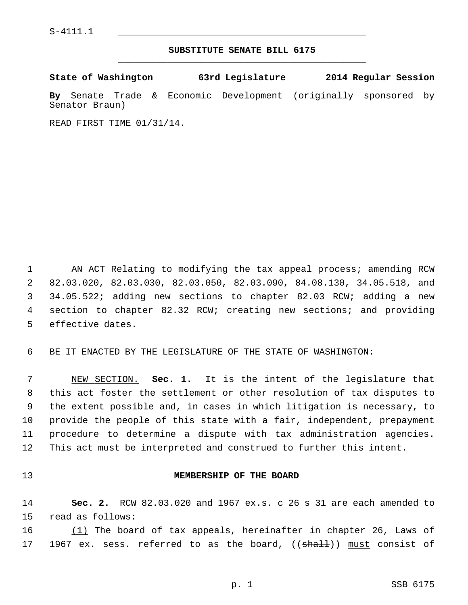## **SUBSTITUTE SENATE BILL 6175** \_\_\_\_\_\_\_\_\_\_\_\_\_\_\_\_\_\_\_\_\_\_\_\_\_\_\_\_\_\_\_\_\_\_\_\_\_\_\_\_\_\_\_\_\_

|  | State of Washington | 63rd Legislature | 2014 Regular Session |  |
|--|---------------------|------------------|----------------------|--|
|  |                     |                  |                      |  |

**By** Senate Trade & Economic Development (originally sponsored by Senator Braun)

READ FIRST TIME 01/31/14.

 1 AN ACT Relating to modifying the tax appeal process; amending RCW 2 82.03.020, 82.03.030, 82.03.050, 82.03.090, 84.08.130, 34.05.518, and 3 34.05.522; adding new sections to chapter 82.03 RCW; adding a new 4 section to chapter 82.32 RCW; creating new sections; and providing 5 effective dates.

6 BE IT ENACTED BY THE LEGISLATURE OF THE STATE OF WASHINGTON:

 7 NEW SECTION. **Sec. 1.** It is the intent of the legislature that 8 this act foster the settlement or other resolution of tax disputes to 9 the extent possible and, in cases in which litigation is necessary, to 10 provide the people of this state with a fair, independent, prepayment 11 procedure to determine a dispute with tax administration agencies. 12 This act must be interpreted and construed to further this intent.

# 13 **MEMBERSHIP OF THE BOARD**

14 **Sec. 2.** RCW 82.03.020 and 1967 ex.s. c 26 s 31 are each amended to 15 read as follows:

16 (1) The board of tax appeals, hereinafter in chapter 26, Laws of 17 1967 ex. sess. referred to as the board, (( $\frac{1}{3}$ ) must consist of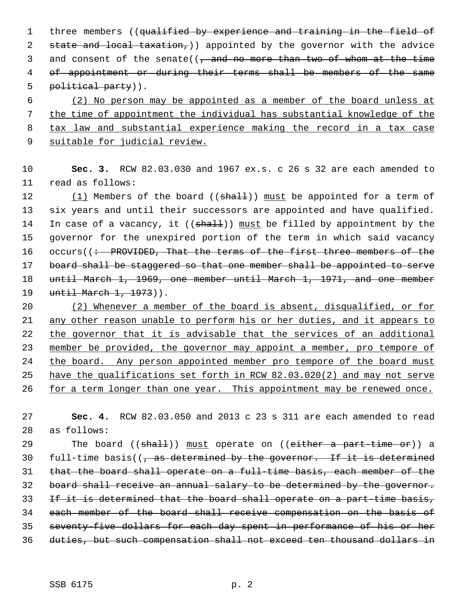1 three members ((qualified by experience and training in the field of 2 state and local taxation, appointed by the governor with the advice 3 and consent of the senate( $\left(\frac{1}{2}, \frac{1}{2}, \frac{1}{2}\right)$  and  $\frac{1}{2}$  and  $\frac{1}{2}$  and  $\frac{1}{2}$  and  $\frac{1}{2}$  and  $\frac{1}{2}$  and  $\frac{1}{2}$  and  $\frac{1}{2}$  and  $\frac{1}{2}$  and  $\frac{1}{2}$  and  $\frac{1}{2}$  and  $\frac{1}{2}$  and  $\frac{1}{2$  4 of appointment or during their terms shall be members of the same 5 political party)).

 (2) No person may be appointed as a member of the board unless at the time of appointment the individual has substantial knowledge of the tax law and substantial experience making the record in a tax case suitable for judicial review.

10 **Sec. 3.** RCW 82.03.030 and 1967 ex.s. c 26 s 32 are each amended to 11 read as follows:

12 (1) Members of the board ((shall)) must be appointed for a term of 13 six years and until their successors are appointed and have qualified. 14 In case of a vacancy, it  $((shaH))$  must be filled by appointment by the 15 governor for the unexpired portion of the term in which said vacancy 16 occurs((: PROVIDED, That the terms of the first three members of the 17 board shall be staggered so that one member shall be appointed to serve 18 until March 1, 1969, one member until March 1, 1971, and one member 19 until March 1, 1973)).

 (2) Whenever a member of the board is absent, disqualified, or for any other reason unable to perform his or her duties, and it appears to the governor that it is advisable that the services of an additional member be provided, the governor may appoint a member, pro tempore of the board. Any person appointed member pro tempore of the board must have the qualifications set forth in RCW 82.03.020(2) and may not serve 26 for a term longer than one year. This appointment may be renewed once.

27 **Sec. 4.** RCW 82.03.050 and 2013 c 23 s 311 are each amended to read 28 as follows:

29 The board ((shall)) must operate on ((either a part-time or)) a 30 full-time basis( $\sqrt{7}$  as determined by the governor. If it is determined that the board shall operate on a full-time basis, each member of the board shall receive an annual salary to be determined by the governor. 33 If it is determined that the board shall operate on a part-time basis, each member of the board shall receive compensation on the basis of seventy-five dollars for each day spent in performance of his or her duties, but such compensation shall not exceed ten thousand dollars in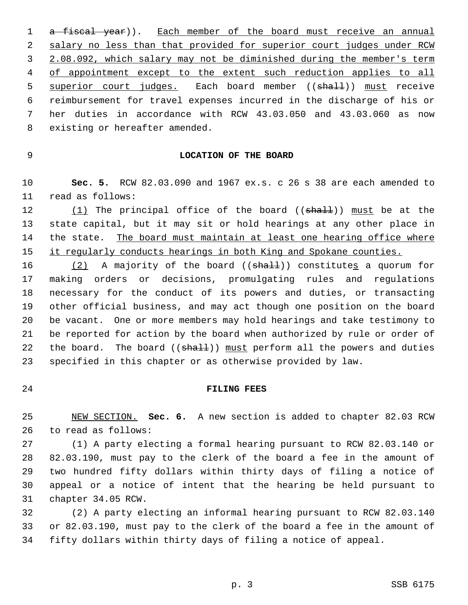1 a fiscal year)). Each member of the board must receive an annual 2 salary no less than that provided for superior court judges under RCW 3 2.08.092, which salary may not be diminished during the member's term 4 of appointment except to the extent such reduction applies to all 5 superior court judges. Each board member ((shall)) must receive 6 reimbursement for travel expenses incurred in the discharge of his or 7 her duties in accordance with RCW 43.03.050 and 43.03.060 as now 8 existing or hereafter amended.

## 9 **LOCATION OF THE BOARD**

10 **Sec. 5.** RCW 82.03.090 and 1967 ex.s. c 26 s 38 are each amended to 11 read as follows:

12  $(1)$  The principal office of the board  $((shall))$  must be at the 13 state capital, but it may sit or hold hearings at any other place in 14 the state. The board must maintain at least one hearing office where 15 it regularly conducts hearings in both King and Spokane counties.

16  $(2)$  A majority of the board  $((shalt))$  constitutes a quorum for 17 making orders or decisions, promulgating rules and regulations 18 necessary for the conduct of its powers and duties, or transacting 19 other official business, and may act though one position on the board 20 be vacant. One or more members may hold hearings and take testimony to 21 be reported for action by the board when authorized by rule or order of 22 the board. The board  $((shath) )$  must perform all the powers and duties 23 specified in this chapter or as otherwise provided by law.

#### 24 **FILING FEES**

25 NEW SECTION. **Sec. 6.** A new section is added to chapter 82.03 RCW 26 to read as follows:

27 (1) A party electing a formal hearing pursuant to RCW 82.03.140 or 28 82.03.190, must pay to the clerk of the board a fee in the amount of 29 two hundred fifty dollars within thirty days of filing a notice of 30 appeal or a notice of intent that the hearing be held pursuant to 31 chapter 34.05 RCW.

32 (2) A party electing an informal hearing pursuant to RCW 82.03.140 33 or 82.03.190, must pay to the clerk of the board a fee in the amount of 34 fifty dollars within thirty days of filing a notice of appeal.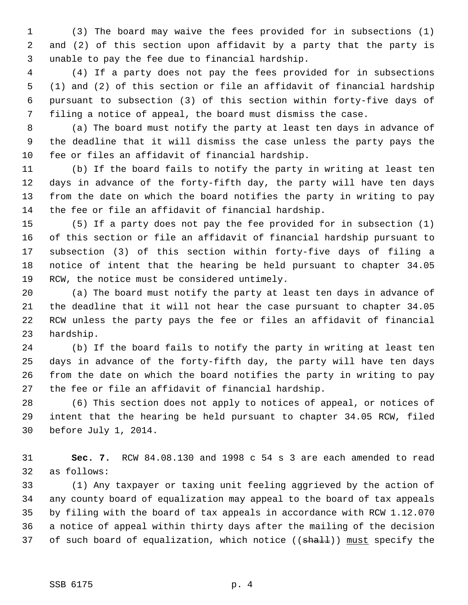1 (3) The board may waive the fees provided for in subsections (1) 2 and (2) of this section upon affidavit by a party that the party is 3 unable to pay the fee due to financial hardship.

 4 (4) If a party does not pay the fees provided for in subsections 5 (1) and (2) of this section or file an affidavit of financial hardship 6 pursuant to subsection (3) of this section within forty-five days of 7 filing a notice of appeal, the board must dismiss the case.

 8 (a) The board must notify the party at least ten days in advance of 9 the deadline that it will dismiss the case unless the party pays the 10 fee or files an affidavit of financial hardship.

11 (b) If the board fails to notify the party in writing at least ten 12 days in advance of the forty-fifth day, the party will have ten days 13 from the date on which the board notifies the party in writing to pay 14 the fee or file an affidavit of financial hardship.

15 (5) If a party does not pay the fee provided for in subsection (1) 16 of this section or file an affidavit of financial hardship pursuant to 17 subsection (3) of this section within forty-five days of filing a 18 notice of intent that the hearing be held pursuant to chapter 34.05 19 RCW, the notice must be considered untimely.

20 (a) The board must notify the party at least ten days in advance of 21 the deadline that it will not hear the case pursuant to chapter 34.05 22 RCW unless the party pays the fee or files an affidavit of financial 23 hardship.

24 (b) If the board fails to notify the party in writing at least ten 25 days in advance of the forty-fifth day, the party will have ten days 26 from the date on which the board notifies the party in writing to pay 27 the fee or file an affidavit of financial hardship.

28 (6) This section does not apply to notices of appeal, or notices of 29 intent that the hearing be held pursuant to chapter 34.05 RCW, filed 30 before July 1, 2014.

31 **Sec. 7.** RCW 84.08.130 and 1998 c 54 s 3 are each amended to read 32 as follows:

33 (1) Any taxpayer or taxing unit feeling aggrieved by the action of 34 any county board of equalization may appeal to the board of tax appeals 35 by filing with the board of tax appeals in accordance with RCW 1.12.070 36 a notice of appeal within thirty days after the mailing of the decision 37 of such board of equalization, which notice ((shall)) must specify the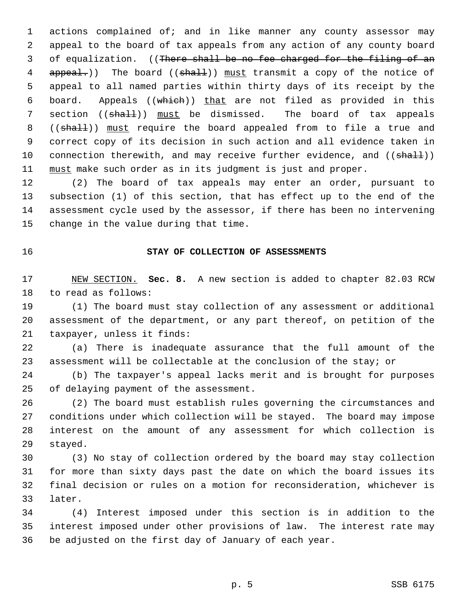1 actions complained of; and in like manner any county assessor may 2 appeal to the board of tax appeals from any action of any county board 3 of equalization. ((There shall be no fee charged for the filing of an 4 appeal.)) The board ((shall)) must transmit a copy of the notice of 5 appeal to all named parties within thirty days of its receipt by the 6 board. Appeals ((which)) that are not filed as provided in this 7 section ((shall)) must be dismissed. The board of tax appeals 8 ((shall)) must require the board appealed from to file a true and 9 correct copy of its decision in such action and all evidence taken in 10 connection therewith, and may receive further evidence, and ((shall)) 11 must make such order as in its judgment is just and proper.

12 (2) The board of tax appeals may enter an order, pursuant to 13 subsection (1) of this section, that has effect up to the end of the 14 assessment cycle used by the assessor, if there has been no intervening 15 change in the value during that time.

### 16 **STAY OF COLLECTION OF ASSESSMENTS**

17 NEW SECTION. **Sec. 8.** A new section is added to chapter 82.03 RCW 18 to read as follows:

19 (1) The board must stay collection of any assessment or additional 20 assessment of the department, or any part thereof, on petition of the 21 taxpayer, unless it finds:

22 (a) There is inadequate assurance that the full amount of the 23 assessment will be collectable at the conclusion of the stay; or

24 (b) The taxpayer's appeal lacks merit and is brought for purposes 25 of delaying payment of the assessment.

26 (2) The board must establish rules governing the circumstances and 27 conditions under which collection will be stayed. The board may impose 28 interest on the amount of any assessment for which collection is 29 stayed.

30 (3) No stay of collection ordered by the board may stay collection 31 for more than sixty days past the date on which the board issues its 32 final decision or rules on a motion for reconsideration, whichever is 33 later.

34 (4) Interest imposed under this section is in addition to the 35 interest imposed under other provisions of law. The interest rate may 36 be adjusted on the first day of January of each year.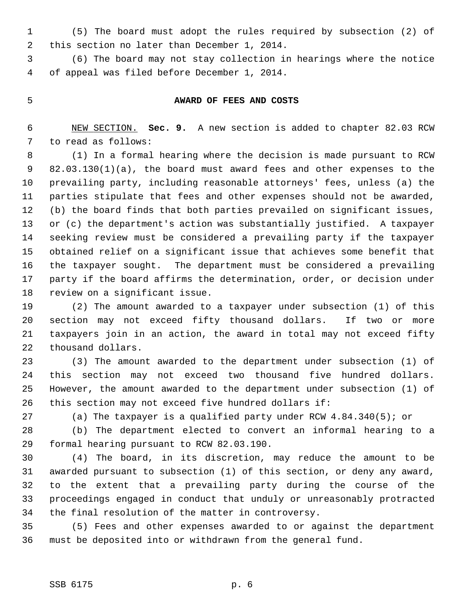1 (5) The board must adopt the rules required by subsection (2) of 2 this section no later than December 1, 2014.

 3 (6) The board may not stay collection in hearings where the notice 4 of appeal was filed before December 1, 2014.

### 5 **AWARD OF FEES AND COSTS**

 6 NEW SECTION. **Sec. 9.** A new section is added to chapter 82.03 RCW 7 to read as follows:

 8 (1) In a formal hearing where the decision is made pursuant to RCW 9 82.03.130(1)(a), the board must award fees and other expenses to the 10 prevailing party, including reasonable attorneys' fees, unless (a) the 11 parties stipulate that fees and other expenses should not be awarded, 12 (b) the board finds that both parties prevailed on significant issues, 13 or (c) the department's action was substantially justified. A taxpayer 14 seeking review must be considered a prevailing party if the taxpayer 15 obtained relief on a significant issue that achieves some benefit that 16 the taxpayer sought. The department must be considered a prevailing 17 party if the board affirms the determination, order, or decision under 18 review on a significant issue.

19 (2) The amount awarded to a taxpayer under subsection (1) of this 20 section may not exceed fifty thousand dollars. If two or more 21 taxpayers join in an action, the award in total may not exceed fifty 22 thousand dollars.

23 (3) The amount awarded to the department under subsection (1) of 24 this section may not exceed two thousand five hundred dollars. 25 However, the amount awarded to the department under subsection (1) of 26 this section may not exceed five hundred dollars if:

27 (a) The taxpayer is a qualified party under RCW 4.84.340(5); or

28 (b) The department elected to convert an informal hearing to a 29 formal hearing pursuant to RCW 82.03.190.

30 (4) The board, in its discretion, may reduce the amount to be 31 awarded pursuant to subsection (1) of this section, or deny any award, 32 to the extent that a prevailing party during the course of the 33 proceedings engaged in conduct that unduly or unreasonably protracted 34 the final resolution of the matter in controversy.

35 (5) Fees and other expenses awarded to or against the department 36 must be deposited into or withdrawn from the general fund.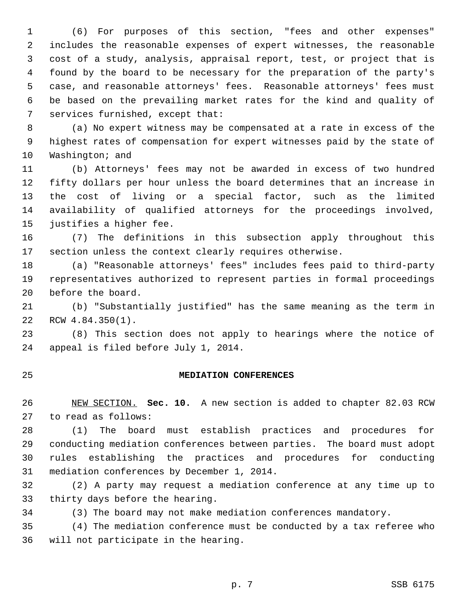1 (6) For purposes of this section, "fees and other expenses" 2 includes the reasonable expenses of expert witnesses, the reasonable 3 cost of a study, analysis, appraisal report, test, or project that is 4 found by the board to be necessary for the preparation of the party's 5 case, and reasonable attorneys' fees. Reasonable attorneys' fees must 6 be based on the prevailing market rates for the kind and quality of 7 services furnished, except that:

 8 (a) No expert witness may be compensated at a rate in excess of the 9 highest rates of compensation for expert witnesses paid by the state of 10 Washington; and

11 (b) Attorneys' fees may not be awarded in excess of two hundred 12 fifty dollars per hour unless the board determines that an increase in 13 the cost of living or a special factor, such as the limited 14 availability of qualified attorneys for the proceedings involved, 15 justifies a higher fee.

16 (7) The definitions in this subsection apply throughout this 17 section unless the context clearly requires otherwise.

18 (a) "Reasonable attorneys' fees" includes fees paid to third-party 19 representatives authorized to represent parties in formal proceedings 20 before the board.

21 (b) "Substantially justified" has the same meaning as the term in 22 RCW 4.84.350(1).

23 (8) This section does not apply to hearings where the notice of 24 appeal is filed before July 1, 2014.

#### 25 **MEDIATION CONFERENCES**

26 NEW SECTION. **Sec. 10.** A new section is added to chapter 82.03 RCW 27 to read as follows:

28 (1) The board must establish practices and procedures for 29 conducting mediation conferences between parties. The board must adopt 30 rules establishing the practices and procedures for conducting 31 mediation conferences by December 1, 2014.

32 (2) A party may request a mediation conference at any time up to 33 thirty days before the hearing.

34 (3) The board may not make mediation conferences mandatory.

35 (4) The mediation conference must be conducted by a tax referee who 36 will not participate in the hearing.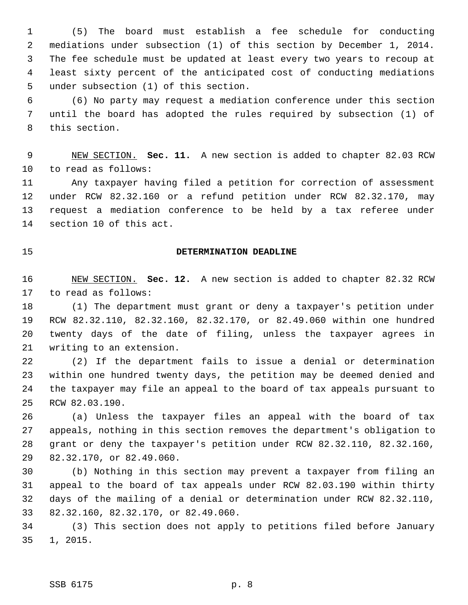1 (5) The board must establish a fee schedule for conducting 2 mediations under subsection (1) of this section by December 1, 2014. 3 The fee schedule must be updated at least every two years to recoup at 4 least sixty percent of the anticipated cost of conducting mediations 5 under subsection (1) of this section.

 6 (6) No party may request a mediation conference under this section 7 until the board has adopted the rules required by subsection (1) of 8 this section.

 9 NEW SECTION. **Sec. 11.** A new section is added to chapter 82.03 RCW 10 to read as follows:

11 Any taxpayer having filed a petition for correction of assessment 12 under RCW 82.32.160 or a refund petition under RCW 82.32.170, may 13 request a mediation conference to be held by a tax referee under 14 section 10 of this act.

## 15 **DETERMINATION DEADLINE**

16 NEW SECTION. **Sec. 12.** A new section is added to chapter 82.32 RCW 17 to read as follows:

18 (1) The department must grant or deny a taxpayer's petition under 19 RCW 82.32.110, 82.32.160, 82.32.170, or 82.49.060 within one hundred 20 twenty days of the date of filing, unless the taxpayer agrees in 21 writing to an extension.

22 (2) If the department fails to issue a denial or determination 23 within one hundred twenty days, the petition may be deemed denied and 24 the taxpayer may file an appeal to the board of tax appeals pursuant to 25 RCW 82.03.190.

26 (a) Unless the taxpayer files an appeal with the board of tax 27 appeals, nothing in this section removes the department's obligation to 28 grant or deny the taxpayer's petition under RCW 82.32.110, 82.32.160, 29 82.32.170, or 82.49.060.

30 (b) Nothing in this section may prevent a taxpayer from filing an 31 appeal to the board of tax appeals under RCW 82.03.190 within thirty 32 days of the mailing of a denial or determination under RCW 82.32.110, 33 82.32.160, 82.32.170, or 82.49.060.

34 (3) This section does not apply to petitions filed before January 35 1, 2015.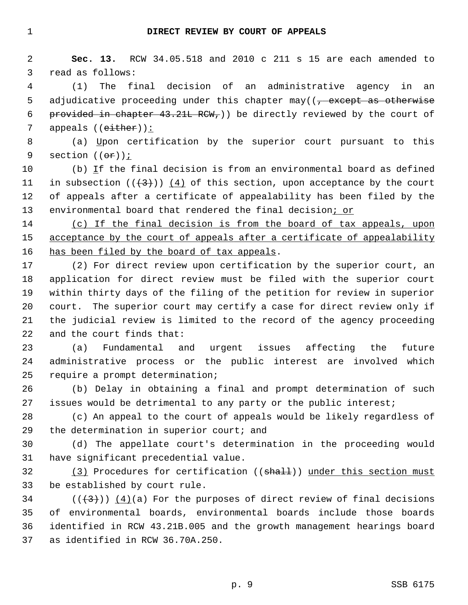2 **Sec. 13.** RCW 34.05.518 and 2010 c 211 s 15 are each amended to 3 read as follows:

 4 (1) The final decision of an administrative agency in an 5 adjudicative proceeding under this chapter may( $\left($ , except as otherwise 6 provided in chapter 43.21L RCW,)) be directly reviewed by the court of 7 appeals ((either)):

 8 (a) Upon certification by the superior court pursuant to this 9 section  $((\theta \mathbf{r}))$  ;

10 (b) If the final decision is from an environmental board as defined 11 in subsection  $((+3+))$   $(4)$  of this section, upon acceptance by the court 12 of appeals after a certificate of appealability has been filed by the 13 environmental board that rendered the final decision; or

14 (c) If the final decision is from the board of tax appeals, upon 15 acceptance by the court of appeals after a certificate of appealability 16 has been filed by the board of tax appeals.

17 (2) For direct review upon certification by the superior court, an 18 application for direct review must be filed with the superior court 19 within thirty days of the filing of the petition for review in superior 20 court. The superior court may certify a case for direct review only if 21 the judicial review is limited to the record of the agency proceeding 22 and the court finds that:

23 (a) Fundamental and urgent issues affecting the future 24 administrative process or the public interest are involved which 25 require a prompt determination;

26 (b) Delay in obtaining a final and prompt determination of such 27 issues would be detrimental to any party or the public interest;

28 (c) An appeal to the court of appeals would be likely regardless of 29 the determination in superior court; and

30 (d) The appellate court's determination in the proceeding would 31 have significant precedential value.

32 (3) Procedures for certification ((shall)) under this section must 33 be established by court rule.

34 ( $(\langle 3 \rangle)$ ) (4)(a) For the purposes of direct review of final decisions 35 of environmental boards, environmental boards include those boards 36 identified in RCW 43.21B.005 and the growth management hearings board 37 as identified in RCW 36.70A.250.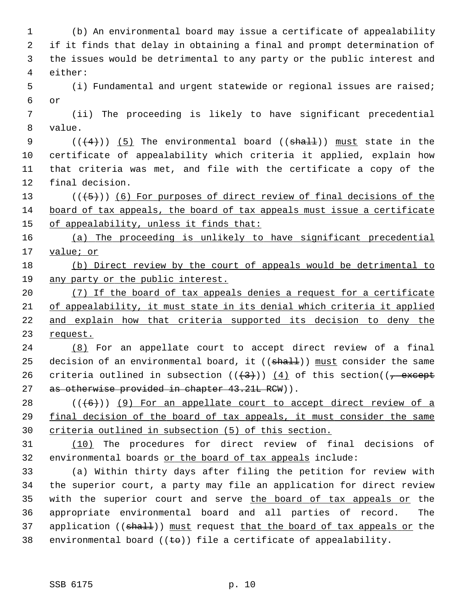1 (b) An environmental board may issue a certificate of appealability 2 if it finds that delay in obtaining a final and prompt determination of 3 the issues would be detrimental to any party or the public interest and 4 either: 5 (i) Fundamental and urgent statewide or regional issues are raised; 6 or 7 (ii) The proceeding is likely to have significant precedential 8 value. 9  $((\langle 4 \rangle) )$  (5) The environmental board (( $\frac{\text{shall}}{\text{shall}}$ )) must state in the 10 certificate of appealability which criteria it applied, explain how 11 that criteria was met, and file with the certificate a copy of the 12 final decision. 13 ( $(\overline{5})$ ) (6) For purposes of direct review of final decisions of the 14 board of tax appeals, the board of tax appeals must issue a certificate 15 of appealability, unless it finds that: 16 (a) The proceeding is unlikely to have significant precedential 17 value; or 18 (b) Direct review by the court of appeals would be detrimental to 19 any party or the public interest. 20 (7) If the board of tax appeals denies a request for a certificate 21 of appealability, it must state in its denial which criteria it applied 22 and explain how that criteria supported its decision to deny the 23 request. 24 (8) For an appellate court to accept direct review of a final 25 decision of an environmental board, it  $((shall))$  must consider the same 26 criteria outlined in subsection  $((+3))$   $(4)$  of this section( $(-$  except 27 as otherwise provided in chapter 43.21L RCW)).  $28$  ( $(\overline{6})$ ) (9) For an appellate court to accept direct review of a 29 final decision of the board of tax appeals, it must consider the same 30 criteria outlined in subsection (5) of this section. 31 (10) The procedures for direct review of final decisions of 32 environmental boards or the board of tax appeals include: 33 (a) Within thirty days after filing the petition for review with 34 the superior court, a party may file an application for direct review 35 with the superior court and serve the board of tax appeals or the 36 appropriate environmental board and all parties of record. The 37 application ( $(\text{sha1+})$ ) must request that the board of tax appeals or the 38 environmental board  $((\pm \theta))$  file a certificate of appealability.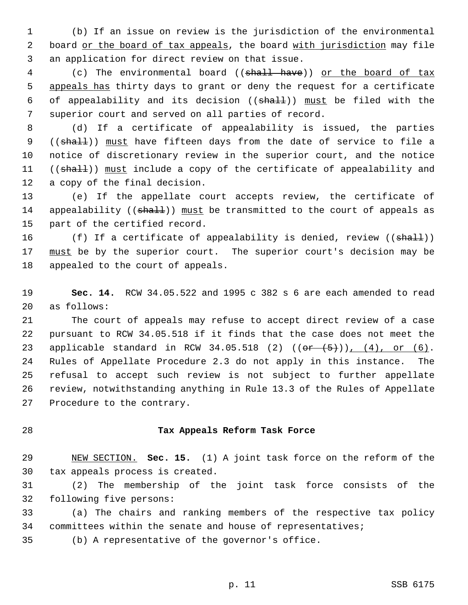1 (b) If an issue on review is the jurisdiction of the environmental 2 board or the board of tax appeals, the board with jurisdiction may file 3 an application for direct review on that issue.

4 (c) The environmental board ((shall have)) or the board of tax 5 appeals has thirty days to grant or deny the request for a certificate 6 of appealability and its decision  $((shall))$  must be filed with the 7 superior court and served on all parties of record.

 8 (d) If a certificate of appealability is issued, the parties 9 ((shall)) must have fifteen days from the date of service to file a 10 notice of discretionary review in the superior court, and the notice 11 ((shall)) must include a copy of the certificate of appealability and 12 a copy of the final decision.

13 (e) If the appellate court accepts review, the certificate of 14 appealability ((shall)) must be transmitted to the court of appeals as 15 part of the certified record.

16 (f) If a certificate of appealability is denied, review ((shall)) 17 must be by the superior court. The superior court's decision may be 18 appealed to the court of appeals.

19 **Sec. 14.** RCW 34.05.522 and 1995 c 382 s 6 are each amended to read 20 as follows:

21 The court of appeals may refuse to accept direct review of a case 22 pursuant to RCW 34.05.518 if it finds that the case does not meet the 23 applicable standard in RCW 34.05.518 (2)  $((o^{2} + (5))')$ , (4), or (6). 24 Rules of Appellate Procedure 2.3 do not apply in this instance. The 25 refusal to accept such review is not subject to further appellate 26 review, notwithstanding anything in Rule 13.3 of the Rules of Appellate 27 Procedure to the contrary.

## 28 **Tax Appeals Reform Task Force**

29 NEW SECTION. **Sec. 15.** (1) A joint task force on the reform of the 30 tax appeals process is created.

31 (2) The membership of the joint task force consists of the 32 following five persons:

33 (a) The chairs and ranking members of the respective tax policy 34 committees within the senate and house of representatives;

35 (b) A representative of the governor's office.